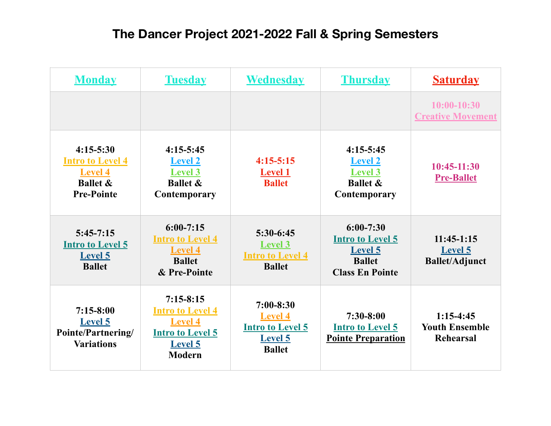| <b>Monday</b>                                                                                          | <b>Tuesday</b>                                                                                                         | <b>Wednesday</b>                                                                              | <b>Thursday</b>                                                                                       | <b>Saturday</b>                                          |
|--------------------------------------------------------------------------------------------------------|------------------------------------------------------------------------------------------------------------------------|-----------------------------------------------------------------------------------------------|-------------------------------------------------------------------------------------------------------|----------------------------------------------------------|
|                                                                                                        |                                                                                                                        |                                                                                               |                                                                                                       | $10:00-10:30$<br><b>Creative Movement</b>                |
| $4:15 - 5:30$<br><b>Intro to Level 4</b><br><b>Level 4</b><br><b>Ballet &amp;</b><br><b>Pre-Pointe</b> | $4:15-5:45$<br><b>Level 2</b><br><b>Level 3</b><br><b>Ballet &amp;</b><br>Contemporary                                 | $4:15-5:15$<br><b>Level 1</b><br><b>Ballet</b>                                                | $4:15 - 5:45$<br><b>Level 2</b><br><b>Level 3</b><br><b>Ballet &amp;</b><br><b>Contemporary</b>       | 10:45-11:30<br><b>Pre-Ballet</b>                         |
| $5:45-7:15$<br><b>Intro to Level 5</b><br><b>Level 5</b><br><b>Ballet</b>                              | $6:00 - 7:15$<br><b>Intro to Level 4</b><br><b>Level 4</b><br><b>Ballet</b><br>& Pre-Pointe                            | $5:30-6:45$<br><b>Level 3</b><br><b>Intro to Level 4</b><br><b>Ballet</b>                     | $6:00 - 7:30$<br><b>Intro to Level 5</b><br><b>Level 5</b><br><b>Ballet</b><br><b>Class En Pointe</b> | $11:45-1:15$<br><b>Level 5</b><br><b>Ballet/Adjunct</b>  |
| $7:15-8:00$<br>Level 5<br><b>Pointe/Partnering/</b><br><b>Variations</b>                               | $7:15-8:15$<br><b>Intro to Level 4</b><br><b>Level 4</b><br><b>Intro to Level 5</b><br><b>Level 5</b><br><b>Modern</b> | $7:00 - 8:30$<br><b>Level 4</b><br><b>Intro to Level 5</b><br><b>Level 5</b><br><b>Ballet</b> | $7:30-8:00$<br><b>Intro to Level 5</b><br><b>Pointe Preparation</b>                                   | $1:15-4:45$<br><b>Youth Ensemble</b><br><b>Rehearsal</b> |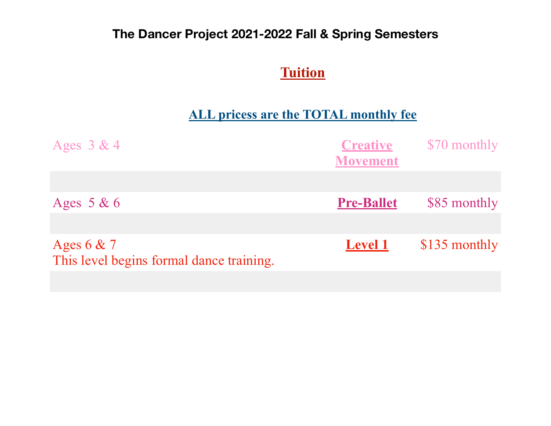## **Tuition**

## **ALL pricess are the TOTAL monthly fee**

| <b>Creative</b><br><b>Movement</b> | \$70 monthly  |
|------------------------------------|---------------|
|                                    |               |
| <b>Pre-Ballet</b>                  | \$85 monthly  |
|                                    |               |
| <b>Level 1</b>                     | \$135 monthly |
|                                    |               |
|                                    |               |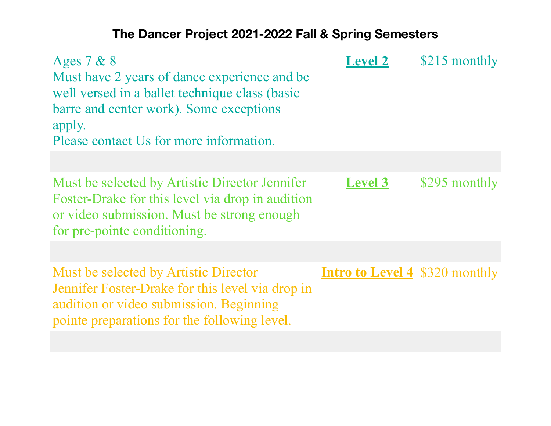| Ages 7 & 8<br>Must have 2 years of dance experience and be<br>well versed in a ballet technique class (basic<br>barre and center work). Some exceptions<br>apply.<br>Please contact Us for more information. | <b>Level 2</b>                        | \$215 monthly |
|--------------------------------------------------------------------------------------------------------------------------------------------------------------------------------------------------------------|---------------------------------------|---------------|
| Must be selected by Artistic Director Jennifer<br>Foster-Drake for this level via drop in audition<br>or video submission. Must be strong enough<br>for pre-pointe conditioning.                             | <b>Level 3</b>                        | \$295 monthly |
| Must be selected by Artistic Director<br>Jennifer Foster-Drake for this level via drop in<br>audition or video submission. Beginning<br>pointe preparations for the following level.                         | <b>Intro to Level 4</b> \$320 monthly |               |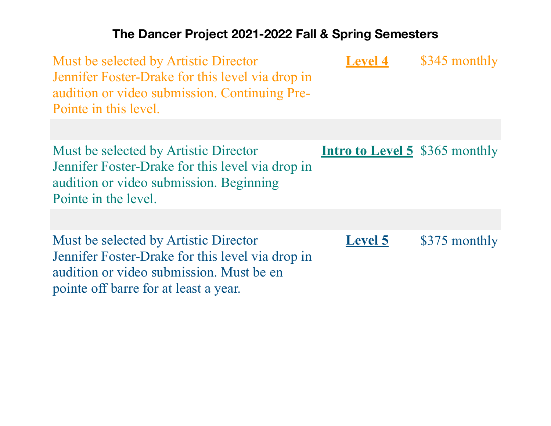| Must be selected by Artistic Director<br>Jennifer Foster-Drake for this level via drop in<br>audition or video submission. Continuing Pre-<br>Pointe in this level. | <b>Level 4</b>                        | \$345 monthly |
|---------------------------------------------------------------------------------------------------------------------------------------------------------------------|---------------------------------------|---------------|
| Must be selected by Artistic Director<br>Jennifer Foster-Drake for this level via drop in<br>audition or video submission. Beginning<br>Pointe in the level.        | <b>Intro to Level 5</b> \$365 monthly |               |
|                                                                                                                                                                     |                                       |               |
| Must be selected by Artistic Director<br>Jennifer Foster-Drake for this level via drop in                                                                           | <b>Level 5</b>                        | \$375 monthly |

audition or video submission. Must be en

pointe off barre for at least a year.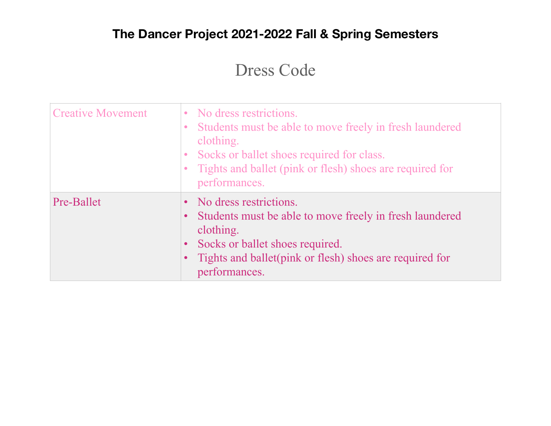# Dress Code

| <b>Creative Movement</b> | No dress restrictions.<br>$\bullet$<br>Students must be able to move freely in fresh laundered<br>clothing.<br>Socks or ballet shoes required for class.<br>Tights and ballet (pink or flesh) shoes are required for<br>performances.    |
|--------------------------|------------------------------------------------------------------------------------------------------------------------------------------------------------------------------------------------------------------------------------------|
| Pre-Ballet               | No dress restrictions.<br>Students must be able to move freely in fresh laundered<br>$\bullet$<br>clothing.<br>Socks or ballet shoes required.<br>$\bullet$<br>Tights and ballet (pink or flesh) shoes are required for<br>performances. |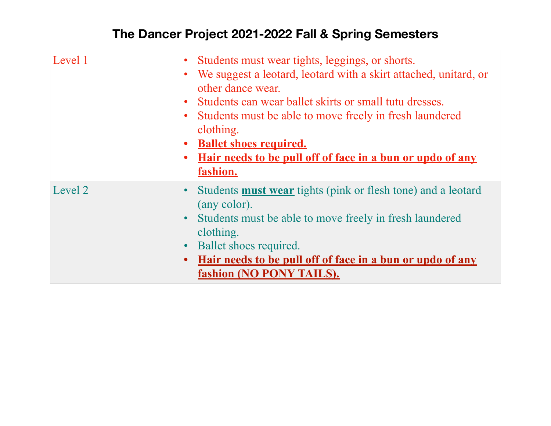| Level 1 | Students must wear tights, leggings, or shorts.<br>$\bullet$<br>We suggest a leotard, leotard with a skirt attached, unitard, or<br>$\bullet$<br>other dance wear.<br>Students can wear ballet skirts or small tutu dresses.<br>$\bullet$<br>Students must be able to move freely in fresh laundered<br>$\bullet$<br>clothing.<br><b>Ballet shoes required.</b><br><u>Hair needs to be pull off of face in a bun or updo of any</u><br>fashion. |
|---------|-------------------------------------------------------------------------------------------------------------------------------------------------------------------------------------------------------------------------------------------------------------------------------------------------------------------------------------------------------------------------------------------------------------------------------------------------|
| Level 2 | Students <b>must wear</b> tights (pink or flesh tone) and a leotard<br>$\bullet$<br>(any color).<br>Students must be able to move freely in fresh laundered<br>$\bullet$<br>clothing.<br>Ballet shoes required.<br>$\bullet$<br><u>Hair needs to be pull off of face in a bun or updo of any</u><br>$\bullet$<br>fashion (NO PONY TAILS).                                                                                                       |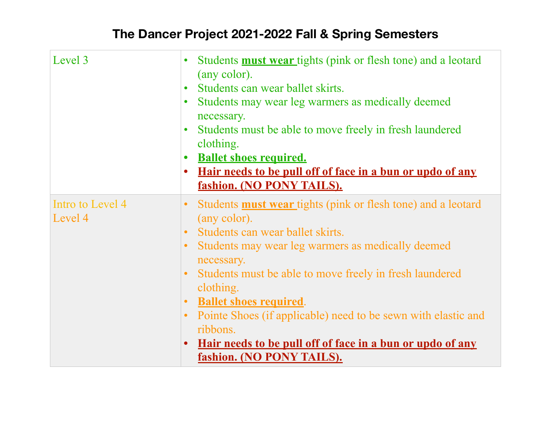| Level 3                     | Students <b>must wear</b> tights (pink or flesh tone) and a leotard<br>$\bullet$<br>(any color).<br>Students can wear ballet skirts.<br>$\bullet$<br>Students may wear leg warmers as medically deemed<br>$\bullet$<br>necessary.<br>Students must be able to move freely in fresh laundered<br>$\bullet$<br>clothing.<br><b>Ballet shoes required.</b><br><u>Hair needs to be pull off of face in a bun or updo of any</u><br>$\bullet$<br>fashion. (NO PONY TAILS).                                                                                                        |
|-----------------------------|------------------------------------------------------------------------------------------------------------------------------------------------------------------------------------------------------------------------------------------------------------------------------------------------------------------------------------------------------------------------------------------------------------------------------------------------------------------------------------------------------------------------------------------------------------------------------|
| Intro to Level 4<br>Level 4 | Students <b>must wear</b> tights (pink or flesh tone) and a leotard<br>$\bullet$<br>(any color).<br>Students can wear ballet skirts.<br>$\bullet$<br>Students may wear leg warmers as medically deemed<br>$\bullet$<br>necessary.<br>Students must be able to move freely in fresh laundered<br>$\bullet$<br>clothing.<br><b>Ballet shoes required.</b><br>$\bullet$<br>Pointe Shoes (if applicable) need to be sewn with elastic and<br>$\bullet$<br>ribbons.<br><u>Hair needs to be pull off of face in a bun or updo of any</u><br>$\bullet$<br>fashion. (NO PONY TAILS). |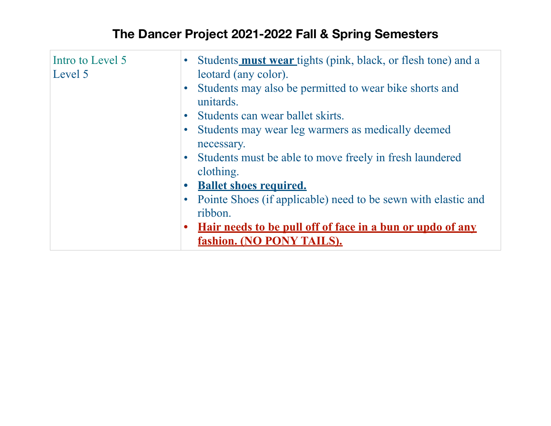| Intro to Level 5<br>Level 5 | $\bullet$ | • Students <b>must wear</b> tights (pink, black, or flesh tone) and a<br>leotard (any color).<br>Students may also be permitted to wear bike shorts and<br>unitards.<br>• Students can wear ballet skirts.<br>Students may wear leg warmers as medically deemed |
|-----------------------------|-----------|-----------------------------------------------------------------------------------------------------------------------------------------------------------------------------------------------------------------------------------------------------------------|
|                             |           | necessary.<br>• Students must be able to move freely in fresh laundered<br>clothing.<br>• Ballet shoes required.<br>• Pointe Shoes (if applicable) need to be sewn with elastic and                                                                             |
|                             |           | ribbon.<br><u>Hair needs to be pull off of face in a bun or updo of any</u><br>fashion. (NO PONY TAILS).                                                                                                                                                        |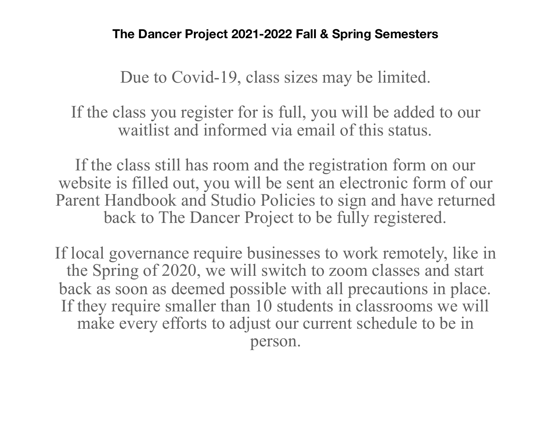Due to Covid-19, class sizes may be limited.

If the class you register for is full, you will be added to our waitlist and informed via email of this status.

If the class still has room and the registration form on our website is filled out, you will be sent an electronic form of our Parent Handbook and Studio Policies to sign and have returned back to The Dancer Project to be fully registered.

If local governance require businesses to work remotely, like in the Spring of 2020, we will switch to zoom classes and start back as soon as deemed possible with all precautions in place. If they require smaller than 10 students in classrooms we will make every efforts to adjust our current schedule to be in person.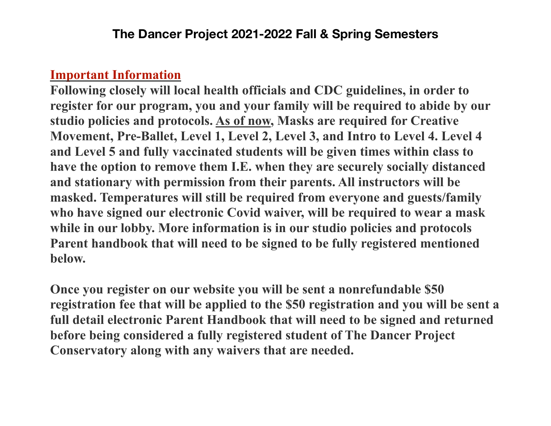#### **Important Information**

**Following closely will local health officials and CDC guidelines, in order to register for our program, you and your family will be required to abide by our studio policies and protocols. As of now, Masks are required for Creative Movement, Pre-Ballet, Level 1, Level 2, Level 3, and Intro to Level 4. Level 4 and Level 5 and fully vaccinated students will be given times within class to have the option to remove them I.E. when they are securely socially distanced and stationary with permission from their parents. All instructors will be masked. Temperatures will still be required from everyone and guests/family who have signed our electronic Covid waiver, will be required to wear a mask while in our lobby. More information is in our studio policies and protocols Parent handbook that will need to be signed to be fully registered mentioned below.** 

**Once you register on our website you will be sent a nonrefundable \$50 registration fee that will be applied to the \$50 registration and you will be sent a full detail electronic Parent Handbook that will need to be signed and returned before being considered a fully registered student of The Dancer Project Conservatory along with any waivers that are needed.**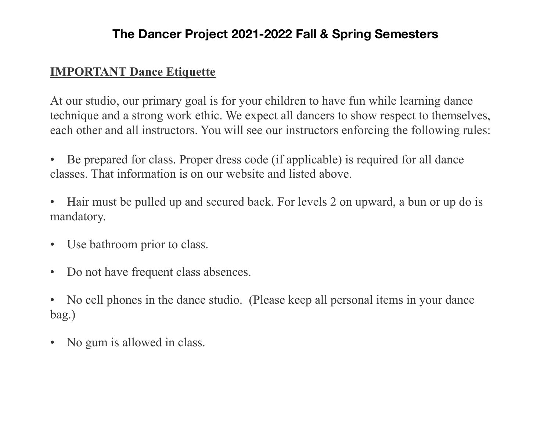#### **IMPORTANT Dance Etiquette**

At our studio, our primary goal is for your children to have fun while learning dance technique and a strong work ethic. We expect all dancers to show respect to themselves, each other and all instructors. You will see our instructors enforcing the following rules:

- Be prepared for class. Proper dress code (if applicable) is required for all dance classes. That information is on our website and listed above.
- Hair must be pulled up and secured back. For levels 2 on upward, a bun or up do is mandatory.
- Use bathroom prior to class.
- Do not have frequent class absences.
- No cell phones in the dance studio. (Please keep all personal items in your dance bag.)
- No gum is allowed in class.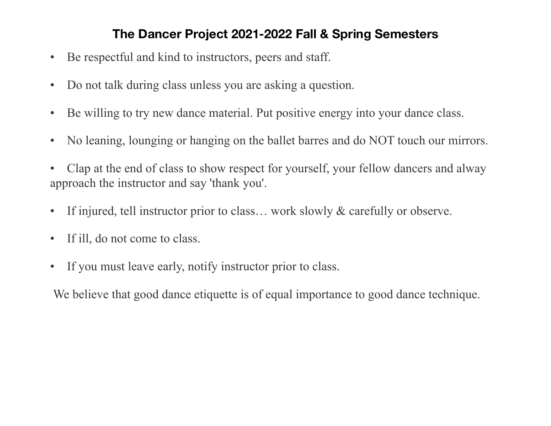- Be respectful and kind to instructors, peers and staff.
- Do not talk during class unless you are asking a question.
- Be willing to try new dance material. Put positive energy into your dance class.
- No leaning, lounging or hanging on the ballet barres and do NOT touch our mirrors.
- Clap at the end of class to show respect for yourself, your fellow dancers and alway approach the instructor and say 'thank you'.
- If injured, tell instructor prior to class... work slowly & carefully or observe.
- If ill, do not come to class.
- If you must leave early, notify instructor prior to class.

We believe that good dance etiquette is of equal importance to good dance technique.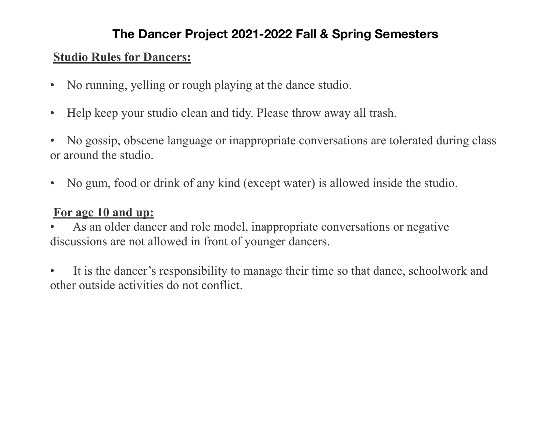#### **Studio Rules for Dancers:**

- No running, yelling or rough playing at the dance studio.
- Help keep your studio clean and tidy. Please throw away all trash.
- No gossip, obscene language or inappropriate conversations are tolerated during class or around the studio.
- No gum, food or drink of any kind (except water) is allowed inside the studio.

## **For age 10 and up:**

As an older dancer and role model, inappropriate conversations or negative discussions are not allowed in front of younger dancers.

It is the dancer's responsibility to manage their time so that dance, schoolwork and other outside activities do not conflict.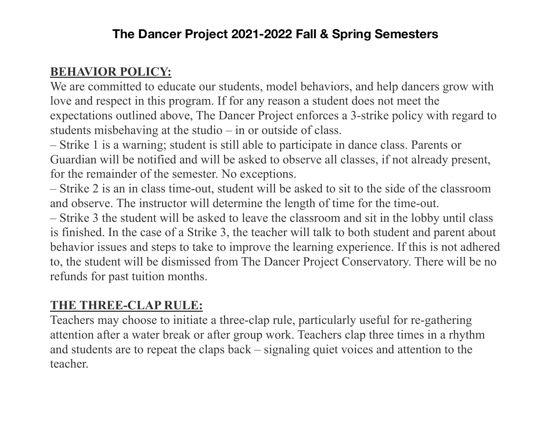## **BEHAVIOR POLICY:**

We are committed to educate our students, model behaviors, and help dancers grow with love and respect in this program. If for any reason a student does not meet the expectations outlined above, The Dancer Project enforces a 3-strike policy with regard to students misbehaving at the studio – in or outside of class.

– Strike 1 is a warning; student is still able to participate in dance class. Parents or Guardian will be notified and will be asked to observe all classes, if not already present, for the remainder of the semester. No exceptions.

– Strike 2 is an in class time-out, student will be asked to sit to the side of the classroom and observe. The instructor will determine the length of time for the time-out.

– Strike 3 the student will be asked to leave the classroom and sit in the lobby until class is finished. In the case of a Strike 3, the teacher will talk to both student and parent about behavior issues and steps to take to improve the learning experience. If this is not adhered to, the student will be dismissed from The Dancer Project Conservatory. There will be no refunds for past tuition months.

#### **THE THREE-CLAP RULE:**

Teachers may choose to initiate a three-clap rule, particularly useful for re-gathering attention after a water break or after group work. Teachers clap three times in a rhythm and students are to repeat the claps back – signaling quiet voices and attention to the teacher.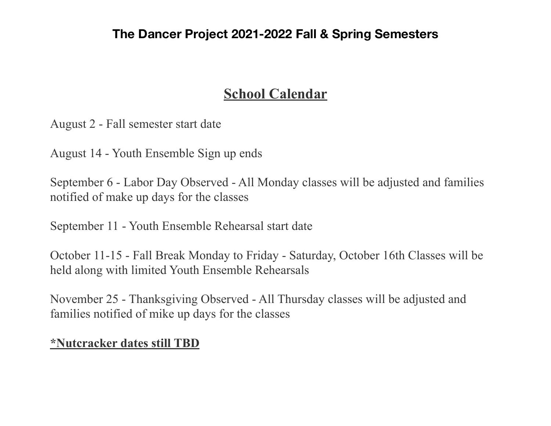## **School Calendar**

August 2 - Fall semester start date

August 14 - Youth Ensemble Sign up ends

September 6 - Labor Day Observed - All Monday classes will be adjusted and families notified of make up days for the classes

September 11 - Youth Ensemble Rehearsal start date

October 11-15 - Fall Break Monday to Friday - Saturday, October 16th Classes will be held along with limited Youth Ensemble Rehearsals

November 25 - Thanksgiving Observed - All Thursday classes will be adjusted and families notified of mike up days for the classes

#### **\*Nutcracker dates still TBD**